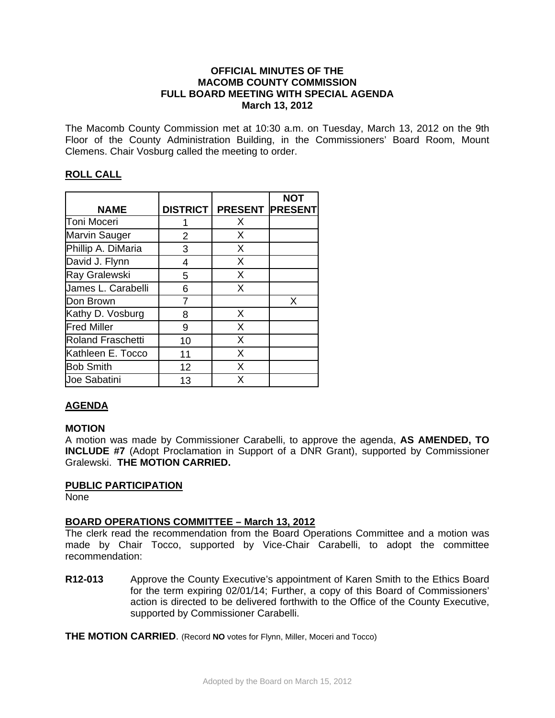### **OFFICIAL MINUTES OF THE MACOMB COUNTY COMMISSION FULL BOARD MEETING WITH SPECIAL AGENDA March 13, 2012**

The Macomb County Commission met at 10:30 a.m. on Tuesday, March 13, 2012 on the 9th Floor of the County Administration Building, in the Commissioners' Board Room, Mount Clemens. Chair Vosburg called the meeting to order.

# **ROLL CALL**

|                          |                 |                        | <b>NOT</b> |
|--------------------------|-----------------|------------------------|------------|
| <b>NAME</b>              | <b>DISTRICT</b> | <b>PRESENT PRESENT</b> |            |
| Toni Moceri              |                 | X                      |            |
| <b>Marvin Sauger</b>     | 2               | X                      |            |
| Phillip A. DiMaria       | 3               | X                      |            |
| David J. Flynn           | 4               | X                      |            |
| Ray Gralewski            | 5               | X                      |            |
| James L. Carabelli       | 6               | X                      |            |
| Don Brown                |                 |                        | X          |
| Kathy D. Vosburg         | 8               | X                      |            |
| <b>Fred Miller</b>       | 9               | X                      |            |
| <b>Roland Fraschetti</b> | 10              | X                      |            |
| Kathleen E. Tocco        | 11              | X                      |            |
| <b>Bob Smith</b>         | 12              | X                      |            |
| Joe Sabatini             | 13              | x                      |            |

# **AGENDA**

### **MOTION**

A motion was made by Commissioner Carabelli, to approve the agenda, **AS AMENDED, TO INCLUDE #7** (Adopt Proclamation in Support of a DNR Grant), supported by Commissioner Gralewski. **THE MOTION CARRIED.** 

### **PUBLIC PARTICIPATION**

None

### **BOARD OPERATIONS COMMITTEE – March 13, 2012**

The clerk read the recommendation from the Board Operations Committee and a motion was made by Chair Tocco, supported by Vice-Chair Carabelli, to adopt the committee recommendation:

**R12-013** Approve the County Executive's appointment of Karen Smith to the Ethics Board for the term expiring 02/01/14; Further, a copy of this Board of Commissioners' action is directed to be delivered forthwith to the Office of the County Executive, supported by Commissioner Carabelli.

**THE MOTION CARRIED**. (Record **NO** votes for Flynn, Miller, Moceri and Tocco)